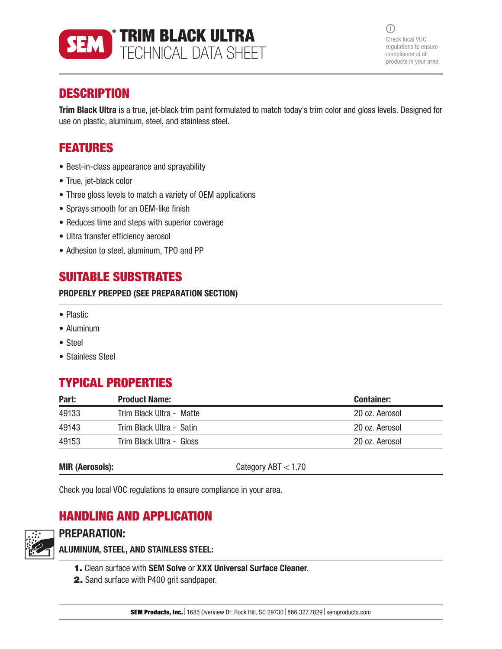

 $(i)$ Check local VOC regulations to ensure compliance of all products in your area.

# **DESCRIPTION**

Trim Black Ultra is a true, jet-black trim paint formulated to match today's trim color and gloss levels. Designed for use on plastic, aluminum, steel, and stainless steel.

## FEATURES

- Best-in-class appearance and sprayability
- True, jet-black color
- Three gloss levels to match a variety of OEM applications
- Sprays smooth for an OEM-like finish
- Reduces time and steps with superior coverage
- Ultra transfer efficiency aerosol
- Adhesion to steel, aluminum, TPO and PP

## SUITABLE SUBSTRATES

#### PROPERLY PREPPED (SEE PREPARATION SECTION)

- Plastic
- Aluminum
- Steel
- Stainless Steel

# TYPICAL PROPERTIES

| Part: | <b>Product Name:</b>     | <b>Container:</b> |
|-------|--------------------------|-------------------|
| 49133 | Trim Black Ultra - Matte | 20 oz. Aerosol    |
| 49143 | Trim Black Ultra - Satin | 20 oz. Aerosol    |
| 49153 | Trim Black Ultra - Gloss | 20 oz. Aerosol    |

MIR (Aerosols): Category ABT < 1.70

Check you local VOC regulations to ensure compliance in your area.

# HANDLING AND APPLICATION



# PREPARATION:

ALUMINUM, STEEL, AND STAINLESS STEEL:

- 1. Clean surface with SEM Solve or XXX Universal Surface Cleaner.
- 2. Sand surface with P400 grit sandpaper.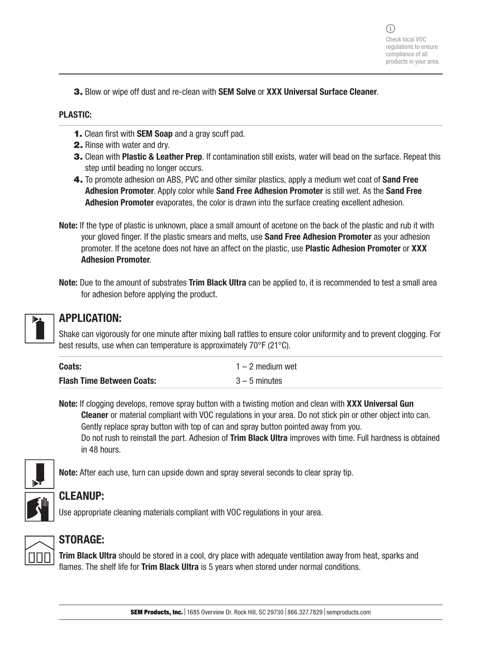3. Blow or wipe off dust and re-clean with SEM Solve or XXX Universal Surface Cleaner.

#### PLASTIC:

- 1. Clean first with SEM Soap and a gray scuff pad.
- 2. Rinse with water and dry.
- **3.** Clean with **Plastic & Leather Prep**. If contamination still exists, water will bead on the surface. Repeat this step until beading no longer occurs.
- 4. To promote adhesion on ABS, PVC and other similar plastics, apply a medium wet coat of Sand Free Adhesion Promoter. Apply color while Sand Free Adhesion Promoter is still wet. As the Sand Free Adhesion Promoter evaporates, the color is drawn into the surface creating excellent adhesion.
- Note: If the type of plastic is unknown, place a small amount of acetone on the back of the plastic and rub it with your gloved finger. If the plastic smears and melts, use **Sand Free Adhesion Promoter** as your adhesion promoter. If the acetone does not have an affect on the plastic, use Plastic Adhesion Promoter or XXX Adhesion Promoter.
- Note: Due to the amount of substrates Trim Black Ultra can be applied to, it is recommended to test a small area for adhesion before applying the product.



## APPLICATION:

Shake can vigorously for one minute after mixing ball rattles to ensure color uniformity and to prevent clogging. For best results, use when can temperature is approximately 70°F (21°C).

| Coats:                           | $1 - 2$ medium wet |
|----------------------------------|--------------------|
| <b>Flash Time Between Coats:</b> | $3 - 5$ minutes    |

Note: If clogging develops, remove spray button with a twisting motion and clean with XXX Universal Gun Cleaner or material compliant with VOC regulations in your area. Do not stick pin or other object into can. Gently replace spray button with top of can and spray button pointed away from you. Do not rush to reinstall the part. Adhesion of Trim Black Ultra improves with time. Full hardness is obtained in 48 hours.



Note: After each use, turn can upside down and spray several seconds to clear spray tip.



# CLEANUP:

Use appropriate cleaning materials compliant with VOC regulations in your area.



## STORAGE:

Trim Black Ultra should be stored in a cool, dry place with adequate ventilation away from heat, sparks and flames. The shelf life for Trim Black Ultra is 5 years when stored under normal conditions.